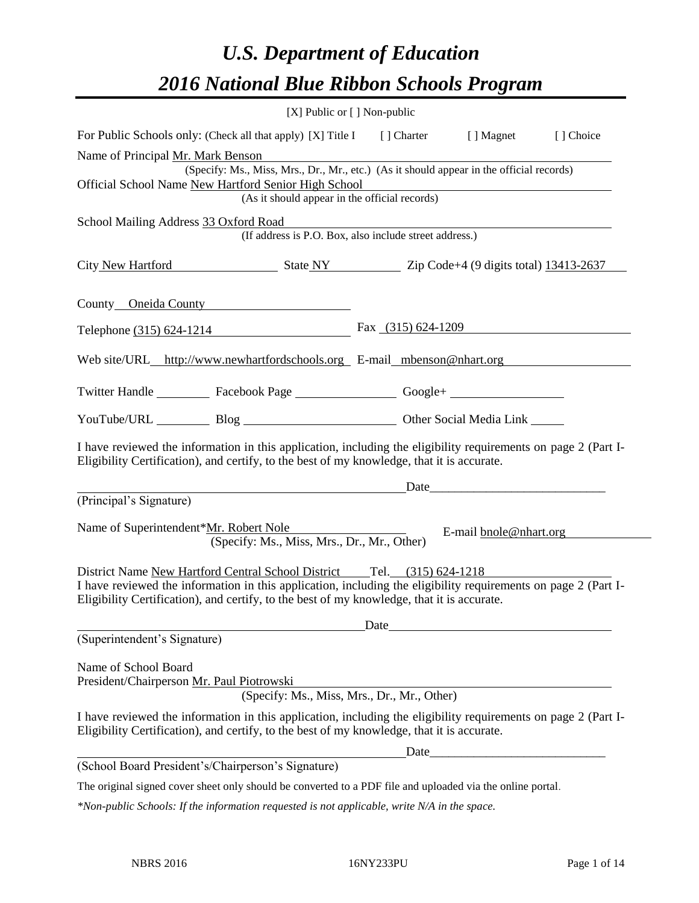# *U.S. Department of Education 2016 National Blue Ribbon Schools Program*

| [X] Public or [] Non-public                                                                                                                                                                                                                                                            |                      |                                                                                                                                                                                                                               |           |
|----------------------------------------------------------------------------------------------------------------------------------------------------------------------------------------------------------------------------------------------------------------------------------------|----------------------|-------------------------------------------------------------------------------------------------------------------------------------------------------------------------------------------------------------------------------|-----------|
| For Public Schools only: (Check all that apply) [X] Title I [] Charter [] Magnet                                                                                                                                                                                                       |                      |                                                                                                                                                                                                                               | [] Choice |
| Name of Principal Mr. Mark Benson                                                                                                                                                                                                                                                      |                      |                                                                                                                                                                                                                               |           |
| (Specify: Ms., Miss, Mrs., Dr., Mr., etc.) (As it should appear in the official records)<br>Official School Name New Hartford Senior High School                                                                                                                                       |                      |                                                                                                                                                                                                                               |           |
| (As it should appear in the official records)                                                                                                                                                                                                                                          |                      |                                                                                                                                                                                                                               |           |
| School Mailing Address 33 Oxford Road<br>(If address is P.O. Box, also include street address.)                                                                                                                                                                                        |                      |                                                                                                                                                                                                                               |           |
| City New Hartford State NY Zip Code+4 (9 digits total) 13413-2637                                                                                                                                                                                                                      |                      |                                                                                                                                                                                                                               |           |
| County Oneida County                                                                                                                                                                                                                                                                   |                      |                                                                                                                                                                                                                               |           |
| Telephone (315) 624-1214                                                                                                                                                                                                                                                               | Fax $(315)$ 624-1209 |                                                                                                                                                                                                                               |           |
| Web site/URL_http://www.newhartfordschools.org E-mail_mbenson@nhart.org                                                                                                                                                                                                                |                      |                                                                                                                                                                                                                               |           |
| Twitter Handle ____________ Facebook Page ____________________ Google+ _____________________________                                                                                                                                                                                   |                      |                                                                                                                                                                                                                               |           |
| YouTube/URL Blog Blog Other Social Media Link                                                                                                                                                                                                                                          |                      |                                                                                                                                                                                                                               |           |
| I have reviewed the information in this application, including the eligibility requirements on page 2 (Part I-<br>Eligibility Certification), and certify, to the best of my knowledge, that it is accurate.                                                                           |                      |                                                                                                                                                                                                                               |           |
| <u> 1980 - Johann Barbara, martin a</u>                                                                                                                                                                                                                                                |                      | Date and the same state of the state of the state of the state of the state of the state of the state of the state of the state of the state of the state of the state of the state of the state of the state of the state of |           |
| (Principal's Signature)                                                                                                                                                                                                                                                                |                      |                                                                                                                                                                                                                               |           |
| Name of Superintendent*Mr. Robert Nole<br>(Specify: Ms., Miss, Mrs., Dr., Mr., Other)                                                                                                                                                                                                  |                      | E-mail bnole@nhart.org                                                                                                                                                                                                        |           |
| District Name New Hartford Central School District Tel. (315) 624-1218<br>I have reviewed the information in this application, including the eligibility requirements on page 2 (Part I-<br>Eligibility Certification), and certify, to the best of my knowledge, that it is accurate. |                      |                                                                                                                                                                                                                               |           |
| (Superintendent's Signature)                                                                                                                                                                                                                                                           |                      | Date experience and the second service of the service of the service of the service of the service of the service of the service of the service of the service of the service of the service of the service of the service of |           |
|                                                                                                                                                                                                                                                                                        |                      |                                                                                                                                                                                                                               |           |
| Name of School Board<br>President/Chairperson Mr. Paul Piotrowski<br>(Specify: Ms., Miss, Mrs., Dr., Mr., Other)                                                                                                                                                                       |                      |                                                                                                                                                                                                                               |           |
| I have reviewed the information in this application, including the eligibility requirements on page 2 (Part I-<br>Eligibility Certification), and certify, to the best of my knowledge, that it is accurate.                                                                           |                      |                                                                                                                                                                                                                               |           |
|                                                                                                                                                                                                                                                                                        |                      |                                                                                                                                                                                                                               |           |
| (School Board President's/Chairperson's Signature)                                                                                                                                                                                                                                     |                      |                                                                                                                                                                                                                               |           |
| The original signed cover sheet only should be converted to a PDF file and uploaded via the online portal.                                                                                                                                                                             |                      |                                                                                                                                                                                                                               |           |

*\*Non-public Schools: If the information requested is not applicable, write N/A in the space.*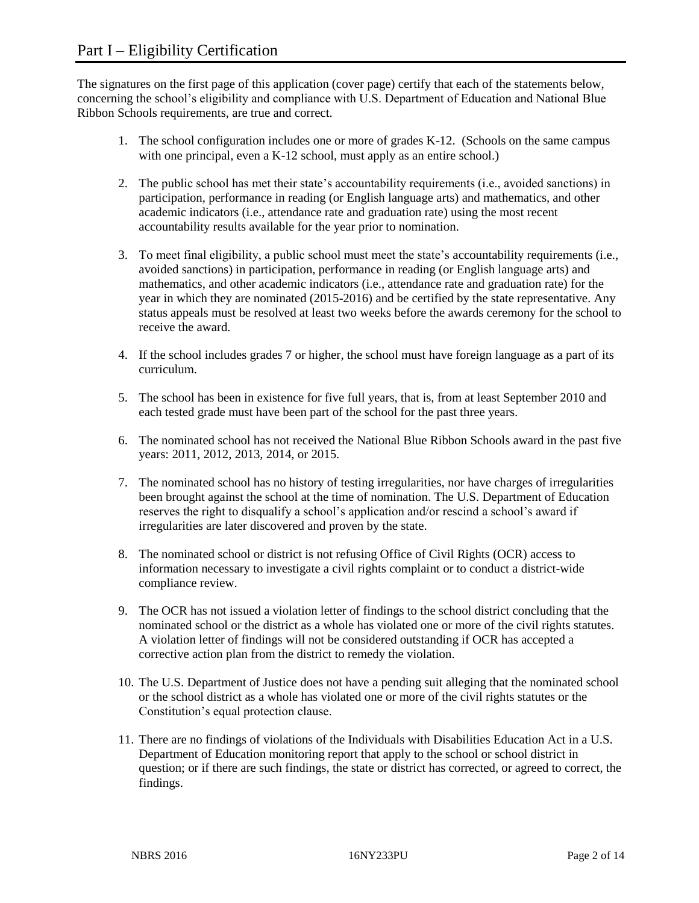The signatures on the first page of this application (cover page) certify that each of the statements below, concerning the school's eligibility and compliance with U.S. Department of Education and National Blue Ribbon Schools requirements, are true and correct.

- 1. The school configuration includes one or more of grades K-12. (Schools on the same campus with one principal, even a K-12 school, must apply as an entire school.)
- 2. The public school has met their state's accountability requirements (i.e., avoided sanctions) in participation, performance in reading (or English language arts) and mathematics, and other academic indicators (i.e., attendance rate and graduation rate) using the most recent accountability results available for the year prior to nomination.
- 3. To meet final eligibility, a public school must meet the state's accountability requirements (i.e., avoided sanctions) in participation, performance in reading (or English language arts) and mathematics, and other academic indicators (i.e., attendance rate and graduation rate) for the year in which they are nominated (2015-2016) and be certified by the state representative. Any status appeals must be resolved at least two weeks before the awards ceremony for the school to receive the award.
- 4. If the school includes grades 7 or higher, the school must have foreign language as a part of its curriculum.
- 5. The school has been in existence for five full years, that is, from at least September 2010 and each tested grade must have been part of the school for the past three years.
- 6. The nominated school has not received the National Blue Ribbon Schools award in the past five years: 2011, 2012, 2013, 2014, or 2015.
- 7. The nominated school has no history of testing irregularities, nor have charges of irregularities been brought against the school at the time of nomination. The U.S. Department of Education reserves the right to disqualify a school's application and/or rescind a school's award if irregularities are later discovered and proven by the state.
- 8. The nominated school or district is not refusing Office of Civil Rights (OCR) access to information necessary to investigate a civil rights complaint or to conduct a district-wide compliance review.
- 9. The OCR has not issued a violation letter of findings to the school district concluding that the nominated school or the district as a whole has violated one or more of the civil rights statutes. A violation letter of findings will not be considered outstanding if OCR has accepted a corrective action plan from the district to remedy the violation.
- 10. The U.S. Department of Justice does not have a pending suit alleging that the nominated school or the school district as a whole has violated one or more of the civil rights statutes or the Constitution's equal protection clause.
- 11. There are no findings of violations of the Individuals with Disabilities Education Act in a U.S. Department of Education monitoring report that apply to the school or school district in question; or if there are such findings, the state or district has corrected, or agreed to correct, the findings.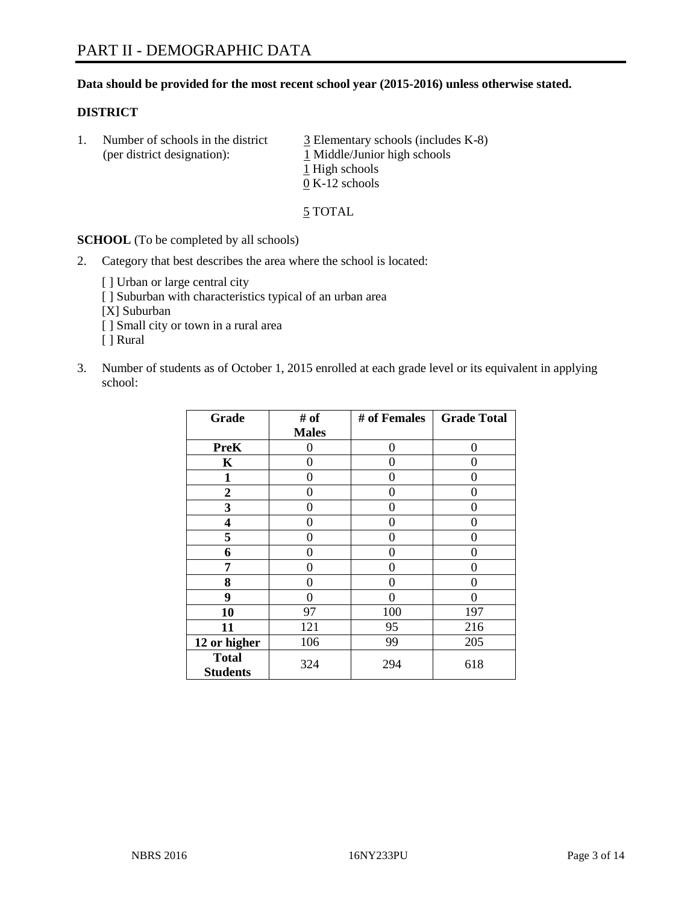## **Data should be provided for the most recent school year (2015-2016) unless otherwise stated.**

### **DISTRICT**

1. Number of schools in the district  $\frac{3}{2}$  Elementary schools (includes K-8) (per district designation):  $\frac{1 \text{ Middle/Junior high schools}}{}$ 1 High schools 0 K-12 schools

5 TOTAL

**SCHOOL** (To be completed by all schools)

- 2. Category that best describes the area where the school is located:
	- [] Urban or large central city [ ] Suburban with characteristics typical of an urban area [X] Suburban [ ] Small city or town in a rural area [ ] Rural
- 3. Number of students as of October 1, 2015 enrolled at each grade level or its equivalent in applying school:

| Grade                           | # of         | # of Females   | <b>Grade Total</b> |
|---------------------------------|--------------|----------------|--------------------|
|                                 | <b>Males</b> |                |                    |
| <b>PreK</b>                     | 0            | 0              | 0                  |
| K                               | 0            | 0              | $\mathbf{\Omega}$  |
| 1                               | 0            | 0              | $\Omega$           |
| 2                               | 0            | 0              | 0                  |
| 3                               | 0            | 0              | 0                  |
| 4                               | 0            | 0              | $\Omega$           |
| 5                               | 0            | 0              | $\Omega$           |
| 6                               | 0            | 0              | $\Omega$           |
| 7                               | 0            | 0              | $\Omega$           |
| 8                               | 0            | 0              | $\Omega$           |
| 9                               | 0            | $\overline{0}$ | 0                  |
| 10                              | 97           | 100            | 197                |
| 11                              | 121          | 95             | 216                |
| 12 or higher                    | 106          | 99             | 205                |
| <b>Total</b><br><b>Students</b> | 324          | 294            | 618                |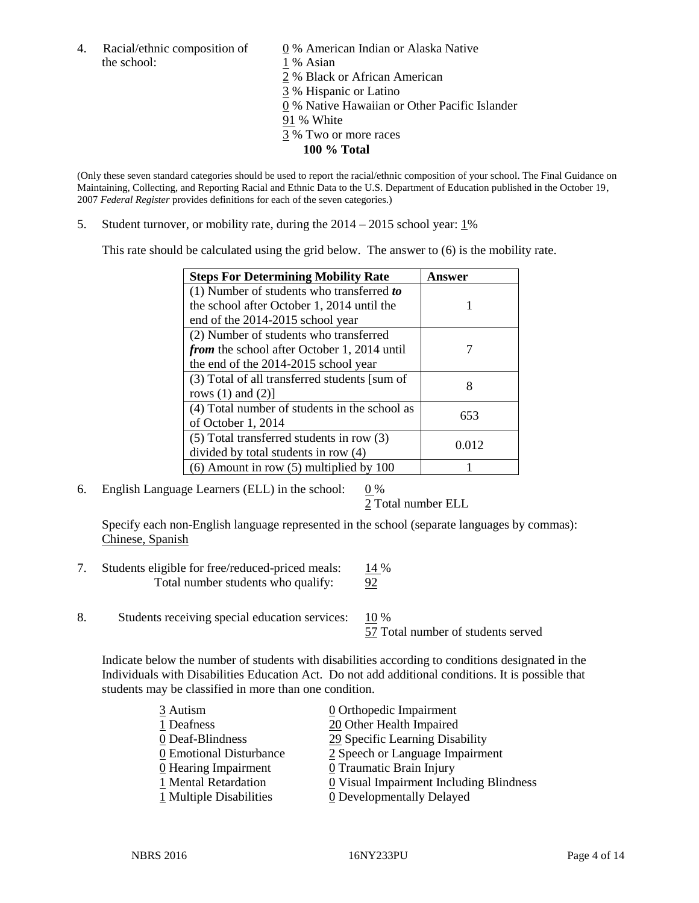- the school: 1 % Asian
- 4. Racial/ethnic composition of  $\qquad 0\%$  American Indian or Alaska Native
	-
	- 2 % Black or African American
	- 3 % Hispanic or Latino
	- 0 % Native Hawaiian or Other Pacific Islander
	- 91 % White
	- 3 % Two or more races
		- **100 % Total**

(Only these seven standard categories should be used to report the racial/ethnic composition of your school. The Final Guidance on Maintaining, Collecting, and Reporting Racial and Ethnic Data to the U.S. Department of Education published in the October 19, 2007 *Federal Register* provides definitions for each of the seven categories.)

5. Student turnover, or mobility rate, during the  $2014 - 2015$  school year:  $1\%$ 

This rate should be calculated using the grid below. The answer to (6) is the mobility rate.

| <b>Steps For Determining Mobility Rate</b>         | Answer |  |
|----------------------------------------------------|--------|--|
| $(1)$ Number of students who transferred to        |        |  |
| the school after October 1, 2014 until the         |        |  |
| end of the 2014-2015 school year                   |        |  |
| (2) Number of students who transferred             |        |  |
| <i>from</i> the school after October 1, 2014 until |        |  |
| the end of the 2014-2015 school year               |        |  |
| (3) Total of all transferred students [sum of      | 8      |  |
| rows $(1)$ and $(2)$ ]                             |        |  |
| (4) Total number of students in the school as      | 653    |  |
| of October 1, 2014                                 |        |  |
| (5) Total transferred students in row (3)          | 0.012  |  |
| divided by total students in row (4)               |        |  |
| $(6)$ Amount in row $(5)$ multiplied by 100        |        |  |

6. English Language Learners (ELL) in the school:  $0\%$ 

2 Total number ELL

Specify each non-English language represented in the school (separate languages by commas): Chinese, Spanish

- 7. Students eligible for free/reduced-priced meals: 14 % Total number students who qualify: 92
- 8. Students receiving special education services: 10 %

57 Total number of students served

Indicate below the number of students with disabilities according to conditions designated in the Individuals with Disabilities Education Act. Do not add additional conditions. It is possible that students may be classified in more than one condition.

| 3 Autism                           | $\underline{0}$ Orthopedic Impairment   |
|------------------------------------|-----------------------------------------|
| 1 Deafness                         | 20 Other Health Impaired                |
| 0 Deaf-Blindness                   | 29 Specific Learning Disability         |
| 0 Emotional Disturbance            | 2 Speech or Language Impairment         |
| $\underline{0}$ Hearing Impairment | 0 Traumatic Brain Injury                |
| 1 Mental Retardation               | 0 Visual Impairment Including Blindness |
| 1 Multiple Disabilities            | <b>0</b> Developmentally Delayed        |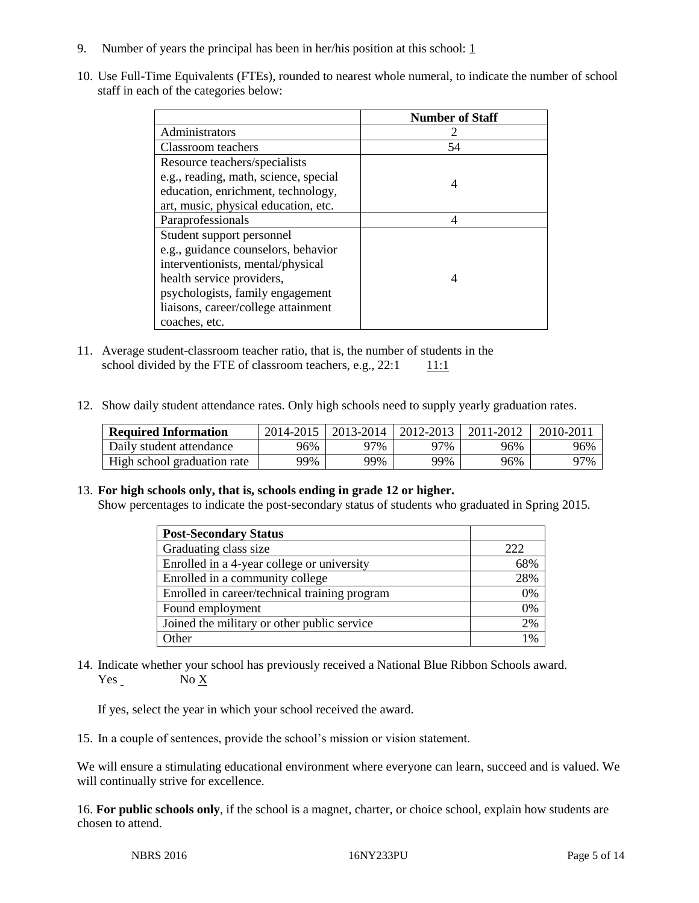- 9. Number of years the principal has been in her/his position at this school:  $1 \overline{1}$
- 10. Use Full-Time Equivalents (FTEs), rounded to nearest whole numeral, to indicate the number of school staff in each of the categories below:

|                                       | <b>Number of Staff</b> |
|---------------------------------------|------------------------|
| Administrators                        |                        |
| Classroom teachers                    | 54                     |
| Resource teachers/specialists         |                        |
| e.g., reading, math, science, special |                        |
| education, enrichment, technology,    |                        |
| art, music, physical education, etc.  |                        |
| Paraprofessionals                     |                        |
| Student support personnel             |                        |
| e.g., guidance counselors, behavior   |                        |
| interventionists, mental/physical     |                        |
| health service providers,             |                        |
| psychologists, family engagement      |                        |
| liaisons, career/college attainment   |                        |
| coaches, etc.                         |                        |

- 11. Average student-classroom teacher ratio, that is, the number of students in the school divided by the FTE of classroom teachers, e.g.,  $22:1$  11:1
- 12. Show daily student attendance rates. Only high schools need to supply yearly graduation rates.

| <b>Required Information</b> | 2014-2015 | 2013-2014 | 2012-2013 | 2011-2012 | $2010 - 201$ . |
|-----------------------------|-----------|-----------|-----------|-----------|----------------|
| Daily student attendance    | 96%       | 97%       | 97%       | 96%       | 96%            |
| High school graduation rate | 99%       | 99%       | 99%       | 96%       | 97%            |

## 13. **For high schools only, that is, schools ending in grade 12 or higher.**

Show percentages to indicate the post-secondary status of students who graduated in Spring 2015.

| <b>Post-Secondary Status</b>                  |     |
|-----------------------------------------------|-----|
| Graduating class size                         | 222 |
| Enrolled in a 4-year college or university    | 68% |
| Enrolled in a community college               | 28% |
| Enrolled in career/technical training program | 0%  |
| Found employment                              | 0%  |
| Joined the military or other public service   | 2%  |
| Other                                         | 1%  |

14. Indicate whether your school has previously received a National Blue Ribbon Schools award. Yes No X

If yes, select the year in which your school received the award.

15. In a couple of sentences, provide the school's mission or vision statement.

We will ensure a stimulating educational environment where everyone can learn, succeed and is valued. We will continually strive for excellence.

16. **For public schools only**, if the school is a magnet, charter, or choice school, explain how students are chosen to attend.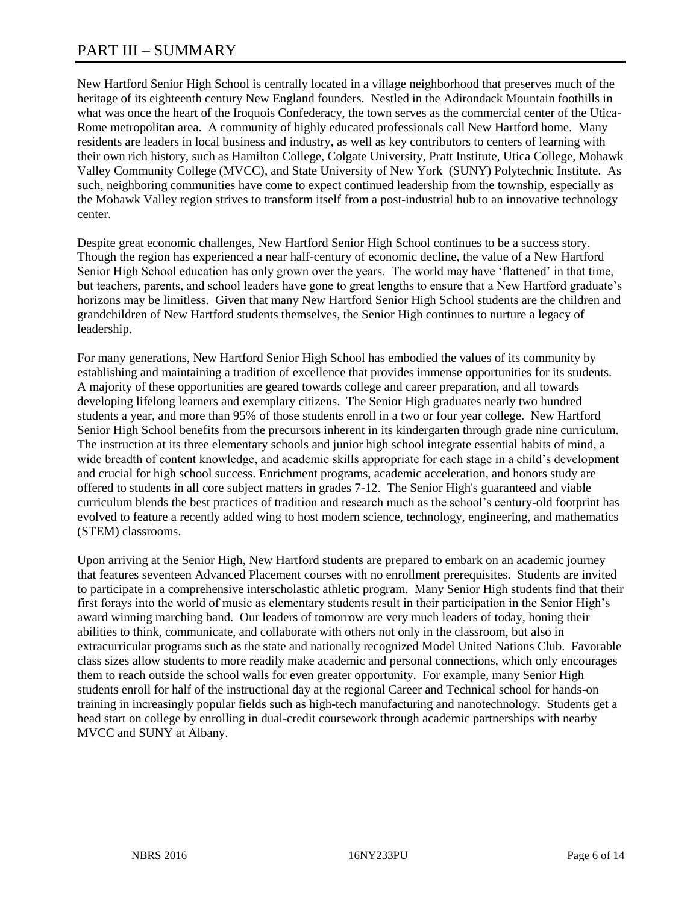# PART III – SUMMARY

New Hartford Senior High School is centrally located in a village neighborhood that preserves much of the heritage of its eighteenth century New England founders. Nestled in the Adirondack Mountain foothills in what was once the heart of the Iroquois Confederacy, the town serves as the commercial center of the Utica-Rome metropolitan area. A community of highly educated professionals call New Hartford home. Many residents are leaders in local business and industry, as well as key contributors to centers of learning with their own rich history, such as Hamilton College, Colgate University, Pratt Institute, Utica College, Mohawk Valley Community College (MVCC), and State University of New York (SUNY) Polytechnic Institute. As such, neighboring communities have come to expect continued leadership from the township, especially as the Mohawk Valley region strives to transform itself from a post-industrial hub to an innovative technology center.

Despite great economic challenges, New Hartford Senior High School continues to be a success story. Though the region has experienced a near half-century of economic decline, the value of a New Hartford Senior High School education has only grown over the years. The world may have 'flattened' in that time, but teachers, parents, and school leaders have gone to great lengths to ensure that a New Hartford graduate's horizons may be limitless. Given that many New Hartford Senior High School students are the children and grandchildren of New Hartford students themselves, the Senior High continues to nurture a legacy of leadership.

For many generations, New Hartford Senior High School has embodied the values of its community by establishing and maintaining a tradition of excellence that provides immense opportunities for its students. A majority of these opportunities are geared towards college and career preparation, and all towards developing lifelong learners and exemplary citizens. The Senior High graduates nearly two hundred students a year, and more than 95% of those students enroll in a two or four year college. New Hartford Senior High School benefits from the precursors inherent in its kindergarten through grade nine curriculum. The instruction at its three elementary schools and junior high school integrate essential habits of mind, a wide breadth of content knowledge, and academic skills appropriate for each stage in a child's development and crucial for high school success. Enrichment programs, academic acceleration, and honors study are offered to students in all core subject matters in grades 7-12. The Senior High's guaranteed and viable curriculum blends the best practices of tradition and research much as the school's century-old footprint has evolved to feature a recently added wing to host modern science, technology, engineering, and mathematics (STEM) classrooms.

Upon arriving at the Senior High, New Hartford students are prepared to embark on an academic journey that features seventeen Advanced Placement courses with no enrollment prerequisites. Students are invited to participate in a comprehensive interscholastic athletic program. Many Senior High students find that their first forays into the world of music as elementary students result in their participation in the Senior High's award winning marching band. Our leaders of tomorrow are very much leaders of today, honing their abilities to think, communicate, and collaborate with others not only in the classroom, but also in extracurricular programs such as the state and nationally recognized Model United Nations Club. Favorable class sizes allow students to more readily make academic and personal connections, which only encourages them to reach outside the school walls for even greater opportunity. For example, many Senior High students enroll for half of the instructional day at the regional Career and Technical school for hands-on training in increasingly popular fields such as high-tech manufacturing and nanotechnology. Students get a head start on college by enrolling in dual-credit coursework through academic partnerships with nearby MVCC and SUNY at Albany.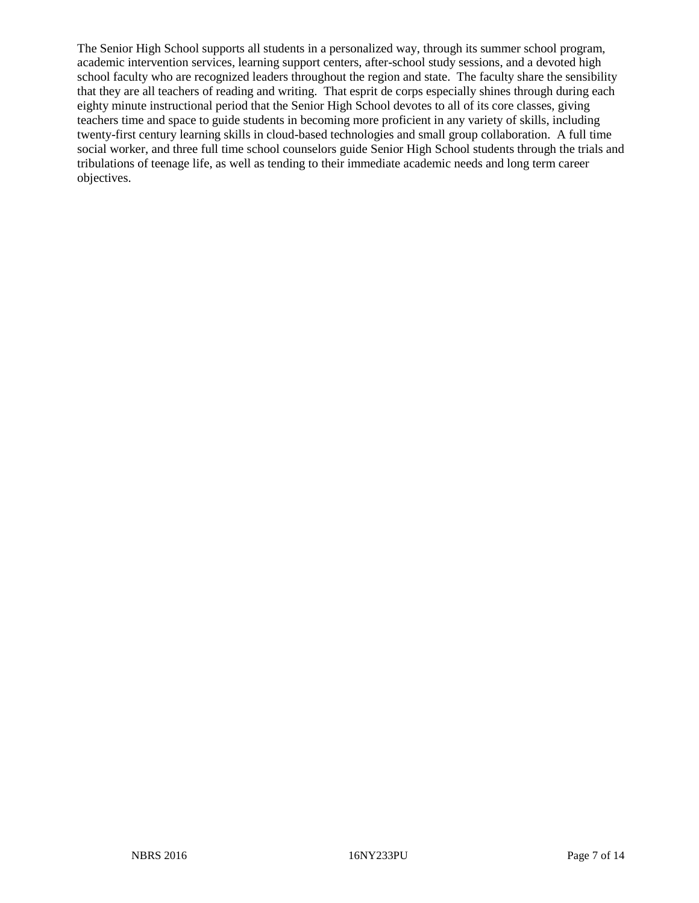The Senior High School supports all students in a personalized way, through its summer school program, academic intervention services, learning support centers, after-school study sessions, and a devoted high school faculty who are recognized leaders throughout the region and state. The faculty share the sensibility that they are all teachers of reading and writing. That esprit de corps especially shines through during each eighty minute instructional period that the Senior High School devotes to all of its core classes, giving teachers time and space to guide students in becoming more proficient in any variety of skills, including twenty-first century learning skills in cloud-based technologies and small group collaboration. A full time social worker, and three full time school counselors guide Senior High School students through the trials and tribulations of teenage life, as well as tending to their immediate academic needs and long term career objectives.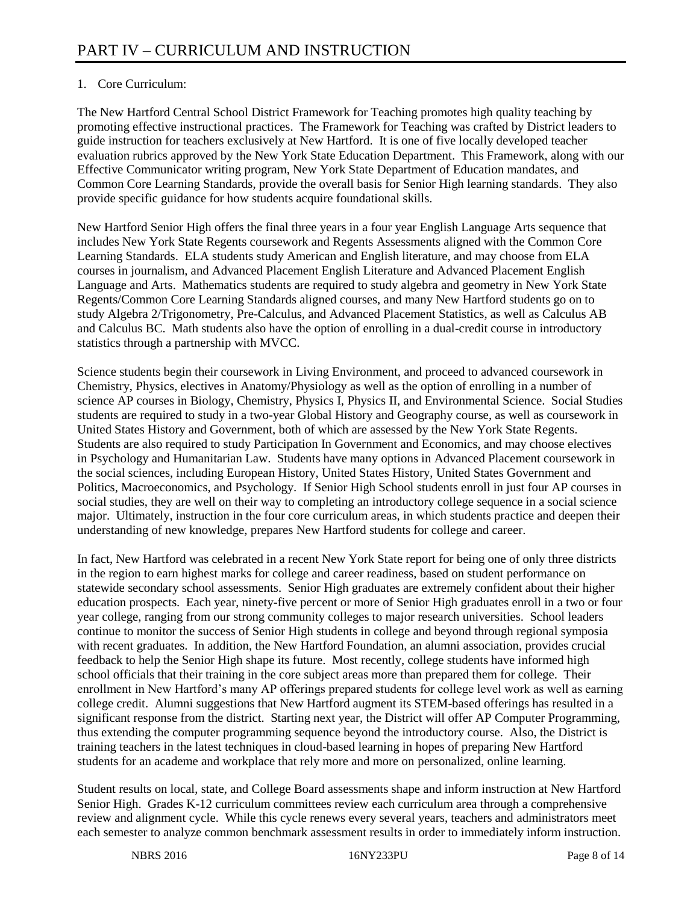# 1. Core Curriculum:

The New Hartford Central School District Framework for Teaching promotes high quality teaching by promoting effective instructional practices. The Framework for Teaching was crafted by District leaders to guide instruction for teachers exclusively at New Hartford. It is one of five locally developed teacher evaluation rubrics approved by the New York State Education Department. This Framework, along with our Effective Communicator writing program, New York State Department of Education mandates, and Common Core Learning Standards, provide the overall basis for Senior High learning standards. They also provide specific guidance for how students acquire foundational skills.

New Hartford Senior High offers the final three years in a four year English Language Arts sequence that includes New York State Regents coursework and Regents Assessments aligned with the Common Core Learning Standards. ELA students study American and English literature, and may choose from ELA courses in journalism, and Advanced Placement English Literature and Advanced Placement English Language and Arts. Mathematics students are required to study algebra and geometry in New York State Regents/Common Core Learning Standards aligned courses, and many New Hartford students go on to study Algebra 2/Trigonometry, Pre-Calculus, and Advanced Placement Statistics, as well as Calculus AB and Calculus BC. Math students also have the option of enrolling in a dual-credit course in introductory statistics through a partnership with MVCC.

Science students begin their coursework in Living Environment, and proceed to advanced coursework in Chemistry, Physics, electives in Anatomy/Physiology as well as the option of enrolling in a number of science AP courses in Biology, Chemistry, Physics I, Physics II, and Environmental Science. Social Studies students are required to study in a two-year Global History and Geography course, as well as coursework in United States History and Government, both of which are assessed by the New York State Regents. Students are also required to study Participation In Government and Economics, and may choose electives in Psychology and Humanitarian Law. Students have many options in Advanced Placement coursework in the social sciences, including European History, United States History, United States Government and Politics, Macroeconomics, and Psychology. If Senior High School students enroll in just four AP courses in social studies, they are well on their way to completing an introductory college sequence in a social science major. Ultimately, instruction in the four core curriculum areas, in which students practice and deepen their understanding of new knowledge, prepares New Hartford students for college and career.

In fact, New Hartford was celebrated in a recent New York State report for being one of only three districts in the region to earn highest marks for college and career readiness, based on student performance on statewide secondary school assessments. Senior High graduates are extremely confident about their higher education prospects. Each year, ninety-five percent or more of Senior High graduates enroll in a two or four year college, ranging from our strong community colleges to major research universities. School leaders continue to monitor the success of Senior High students in college and beyond through regional symposia with recent graduates. In addition, the New Hartford Foundation, an alumni association, provides crucial feedback to help the Senior High shape its future. Most recently, college students have informed high school officials that their training in the core subject areas more than prepared them for college. Their enrollment in New Hartford's many AP offerings prepared students for college level work as well as earning college credit. Alumni suggestions that New Hartford augment its STEM-based offerings has resulted in a significant response from the district. Starting next year, the District will offer AP Computer Programming, thus extending the computer programming sequence beyond the introductory course. Also, the District is training teachers in the latest techniques in cloud-based learning in hopes of preparing New Hartford students for an academe and workplace that rely more and more on personalized, online learning.

Student results on local, state, and College Board assessments shape and inform instruction at New Hartford Senior High. Grades K-12 curriculum committees review each curriculum area through a comprehensive review and alignment cycle. While this cycle renews every several years, teachers and administrators meet each semester to analyze common benchmark assessment results in order to immediately inform instruction.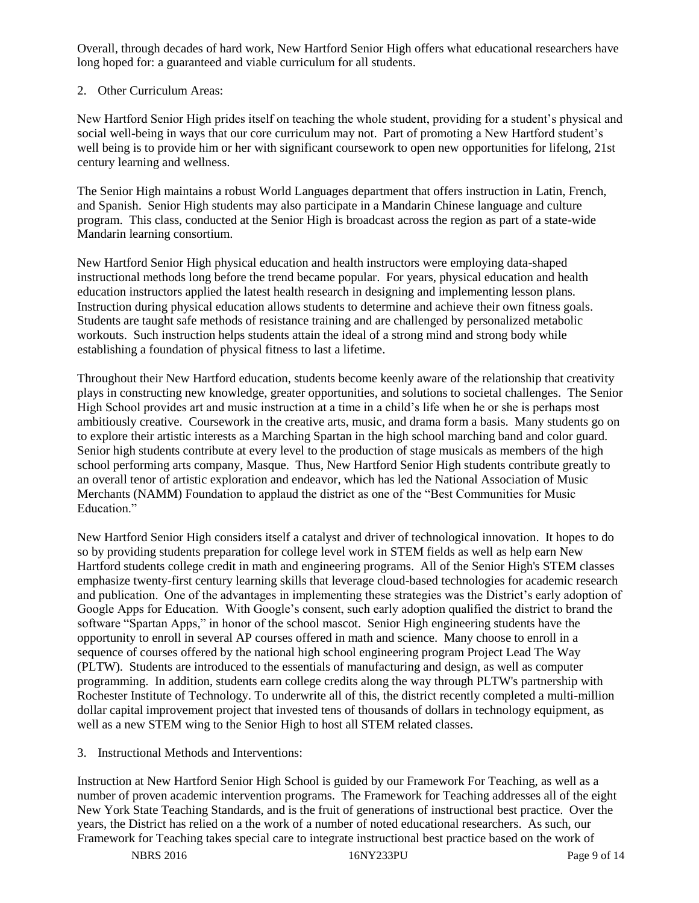Overall, through decades of hard work, New Hartford Senior High offers what educational researchers have long hoped for: a guaranteed and viable curriculum for all students.

# 2. Other Curriculum Areas:

New Hartford Senior High prides itself on teaching the whole student, providing for a student's physical and social well-being in ways that our core curriculum may not. Part of promoting a New Hartford student's well being is to provide him or her with significant coursework to open new opportunities for lifelong, 21st century learning and wellness.

The Senior High maintains a robust World Languages department that offers instruction in Latin, French, and Spanish. Senior High students may also participate in a Mandarin Chinese language and culture program. This class, conducted at the Senior High is broadcast across the region as part of a state-wide Mandarin learning consortium.

New Hartford Senior High physical education and health instructors were employing data-shaped instructional methods long before the trend became popular. For years, physical education and health education instructors applied the latest health research in designing and implementing lesson plans. Instruction during physical education allows students to determine and achieve their own fitness goals. Students are taught safe methods of resistance training and are challenged by personalized metabolic workouts. Such instruction helps students attain the ideal of a strong mind and strong body while establishing a foundation of physical fitness to last a lifetime.

Throughout their New Hartford education, students become keenly aware of the relationship that creativity plays in constructing new knowledge, greater opportunities, and solutions to societal challenges. The Senior High School provides art and music instruction at a time in a child's life when he or she is perhaps most ambitiously creative. Coursework in the creative arts, music, and drama form a basis. Many students go on to explore their artistic interests as a Marching Spartan in the high school marching band and color guard. Senior high students contribute at every level to the production of stage musicals as members of the high school performing arts company, Masque. Thus, New Hartford Senior High students contribute greatly to an overall tenor of artistic exploration and endeavor, which has led the National Association of Music Merchants (NAMM) Foundation to applaud the district as one of the "Best Communities for Music Education."

New Hartford Senior High considers itself a catalyst and driver of technological innovation. It hopes to do so by providing students preparation for college level work in STEM fields as well as help earn New Hartford students college credit in math and engineering programs. All of the Senior High's STEM classes emphasize twenty-first century learning skills that leverage cloud-based technologies for academic research and publication. One of the advantages in implementing these strategies was the District's early adoption of Google Apps for Education. With Google's consent, such early adoption qualified the district to brand the software "Spartan Apps," in honor of the school mascot. Senior High engineering students have the opportunity to enroll in several AP courses offered in math and science. Many choose to enroll in a sequence of courses offered by the national high school engineering program Project Lead The Way (PLTW). Students are introduced to the essentials of manufacturing and design, as well as computer programming. In addition, students earn college credits along the way through PLTW's partnership with Rochester Institute of Technology. To underwrite all of this, the district recently completed a multi-million dollar capital improvement project that invested tens of thousands of dollars in technology equipment, as well as a new STEM wing to the Senior High to host all STEM related classes.

3. Instructional Methods and Interventions:

Instruction at New Hartford Senior High School is guided by our Framework For Teaching, as well as a number of proven academic intervention programs. The Framework for Teaching addresses all of the eight New York State Teaching Standards, and is the fruit of generations of instructional best practice. Over the years, the District has relied on a the work of a number of noted educational researchers. As such, our Framework for Teaching takes special care to integrate instructional best practice based on the work of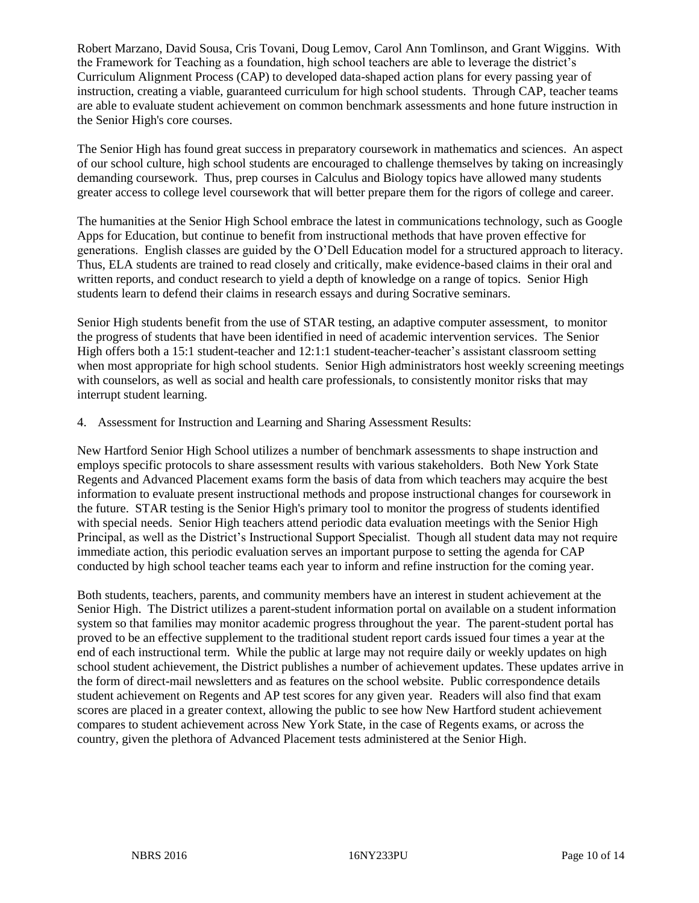Robert Marzano, David Sousa, Cris Tovani, Doug Lemov, Carol Ann Tomlinson, and Grant Wiggins. With the Framework for Teaching as a foundation, high school teachers are able to leverage the district's Curriculum Alignment Process (CAP) to developed data-shaped action plans for every passing year of instruction, creating a viable, guaranteed curriculum for high school students. Through CAP, teacher teams are able to evaluate student achievement on common benchmark assessments and hone future instruction in the Senior High's core courses.

The Senior High has found great success in preparatory coursework in mathematics and sciences. An aspect of our school culture, high school students are encouraged to challenge themselves by taking on increasingly demanding coursework. Thus, prep courses in Calculus and Biology topics have allowed many students greater access to college level coursework that will better prepare them for the rigors of college and career.

The humanities at the Senior High School embrace the latest in communications technology, such as Google Apps for Education, but continue to benefit from instructional methods that have proven effective for generations. English classes are guided by the O'Dell Education model for a structured approach to literacy. Thus, ELA students are trained to read closely and critically, make evidence-based claims in their oral and written reports, and conduct research to yield a depth of knowledge on a range of topics. Senior High students learn to defend their claims in research essays and during Socrative seminars.

Senior High students benefit from the use of STAR testing, an adaptive computer assessment, to monitor the progress of students that have been identified in need of academic intervention services. The Senior High offers both a 15:1 student-teacher and 12:1:1 student-teacher-teacher's assistant classroom setting when most appropriate for high school students. Senior High administrators host weekly screening meetings with counselors, as well as social and health care professionals, to consistently monitor risks that may interrupt student learning.

4. Assessment for Instruction and Learning and Sharing Assessment Results:

New Hartford Senior High School utilizes a number of benchmark assessments to shape instruction and employs specific protocols to share assessment results with various stakeholders. Both New York State Regents and Advanced Placement exams form the basis of data from which teachers may acquire the best information to evaluate present instructional methods and propose instructional changes for coursework in the future. STAR testing is the Senior High's primary tool to monitor the progress of students identified with special needs. Senior High teachers attend periodic data evaluation meetings with the Senior High Principal, as well as the District's Instructional Support Specialist. Though all student data may not require immediate action, this periodic evaluation serves an important purpose to setting the agenda for CAP conducted by high school teacher teams each year to inform and refine instruction for the coming year.

Both students, teachers, parents, and community members have an interest in student achievement at the Senior High. The District utilizes a parent-student information portal on available on a student information system so that families may monitor academic progress throughout the year. The parent-student portal has proved to be an effective supplement to the traditional student report cards issued four times a year at the end of each instructional term. While the public at large may not require daily or weekly updates on high school student achievement, the District publishes a number of achievement updates. These updates arrive in the form of direct-mail newsletters and as features on the school website. Public correspondence details student achievement on Regents and AP test scores for any given year. Readers will also find that exam scores are placed in a greater context, allowing the public to see how New Hartford student achievement compares to student achievement across New York State, in the case of Regents exams, or across the country, given the plethora of Advanced Placement tests administered at the Senior High.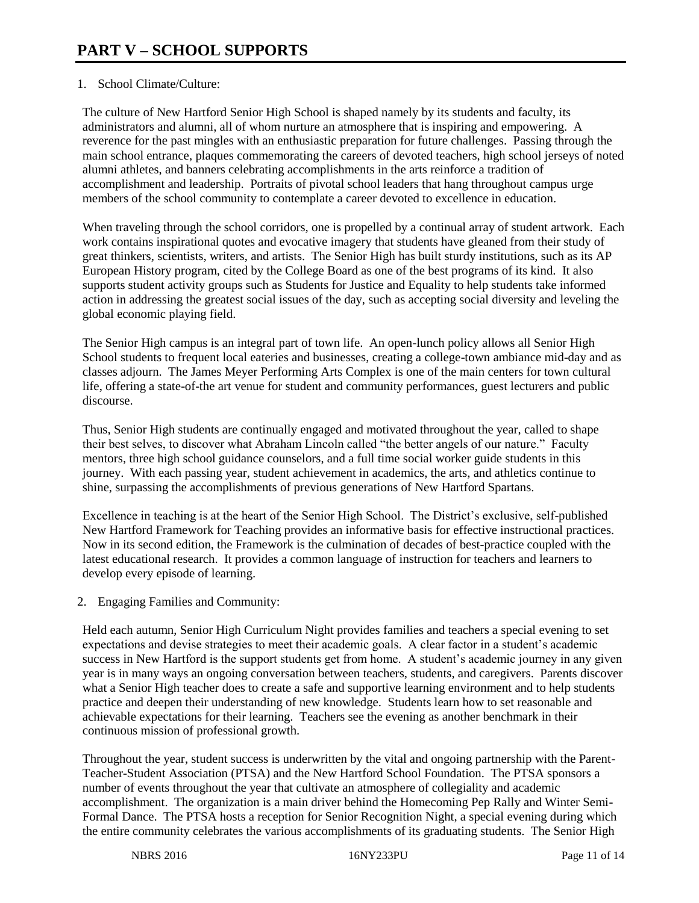# 1. School Climate/Culture:

The culture of New Hartford Senior High School is shaped namely by its students and faculty, its administrators and alumni, all of whom nurture an atmosphere that is inspiring and empowering. A reverence for the past mingles with an enthusiastic preparation for future challenges. Passing through the main school entrance, plaques commemorating the careers of devoted teachers, high school jerseys of noted alumni athletes, and banners celebrating accomplishments in the arts reinforce a tradition of accomplishment and leadership. Portraits of pivotal school leaders that hang throughout campus urge members of the school community to contemplate a career devoted to excellence in education.

When traveling through the school corridors, one is propelled by a continual array of student artwork. Each work contains inspirational quotes and evocative imagery that students have gleaned from their study of great thinkers, scientists, writers, and artists. The Senior High has built sturdy institutions, such as its AP European History program, cited by the College Board as one of the best programs of its kind. It also supports student activity groups such as Students for Justice and Equality to help students take informed action in addressing the greatest social issues of the day, such as accepting social diversity and leveling the global economic playing field.

The Senior High campus is an integral part of town life. An open-lunch policy allows all Senior High School students to frequent local eateries and businesses, creating a college-town ambiance mid-day and as classes adjourn. The James Meyer Performing Arts Complex is one of the main centers for town cultural life, offering a state-of-the art venue for student and community performances, guest lecturers and public discourse.

Thus, Senior High students are continually engaged and motivated throughout the year, called to shape their best selves, to discover what Abraham Lincoln called "the better angels of our nature." Faculty mentors, three high school guidance counselors, and a full time social worker guide students in this journey. With each passing year, student achievement in academics, the arts, and athletics continue to shine, surpassing the accomplishments of previous generations of New Hartford Spartans.

Excellence in teaching is at the heart of the Senior High School. The District's exclusive, self-published New Hartford Framework for Teaching provides an informative basis for effective instructional practices. Now in its second edition, the Framework is the culmination of decades of best-practice coupled with the latest educational research. It provides a common language of instruction for teachers and learners to develop every episode of learning.

2. Engaging Families and Community:

Held each autumn, Senior High Curriculum Night provides families and teachers a special evening to set expectations and devise strategies to meet their academic goals. A clear factor in a student's academic success in New Hartford is the support students get from home. A student's academic journey in any given year is in many ways an ongoing conversation between teachers, students, and caregivers. Parents discover what a Senior High teacher does to create a safe and supportive learning environment and to help students practice and deepen their understanding of new knowledge. Students learn how to set reasonable and achievable expectations for their learning. Teachers see the evening as another benchmark in their continuous mission of professional growth.

Throughout the year, student success is underwritten by the vital and ongoing partnership with the Parent-Teacher-Student Association (PTSA) and the New Hartford School Foundation. The PTSA sponsors a number of events throughout the year that cultivate an atmosphere of collegiality and academic accomplishment. The organization is a main driver behind the Homecoming Pep Rally and Winter Semi-Formal Dance. The PTSA hosts a reception for Senior Recognition Night, a special evening during which the entire community celebrates the various accomplishments of its graduating students. The Senior High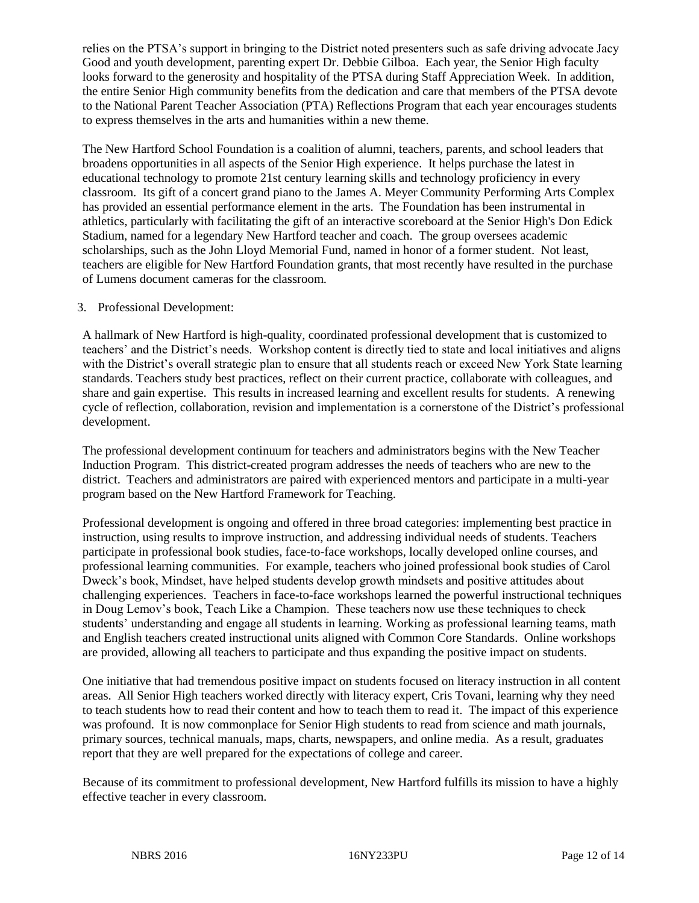relies on the PTSA's support in bringing to the District noted presenters such as safe driving advocate Jacy Good and youth development, parenting expert Dr. Debbie Gilboa. Each year, the Senior High faculty looks forward to the generosity and hospitality of the PTSA during Staff Appreciation Week. In addition, the entire Senior High community benefits from the dedication and care that members of the PTSA devote to the National Parent Teacher Association (PTA) Reflections Program that each year encourages students to express themselves in the arts and humanities within a new theme.

The New Hartford School Foundation is a coalition of alumni, teachers, parents, and school leaders that broadens opportunities in all aspects of the Senior High experience. It helps purchase the latest in educational technology to promote 21st century learning skills and technology proficiency in every classroom. Its gift of a concert grand piano to the James A. Meyer Community Performing Arts Complex has provided an essential performance element in the arts. The Foundation has been instrumental in athletics, particularly with facilitating the gift of an interactive scoreboard at the Senior High's Don Edick Stadium, named for a legendary New Hartford teacher and coach. The group oversees academic scholarships, such as the John Lloyd Memorial Fund, named in honor of a former student. Not least, teachers are eligible for New Hartford Foundation grants, that most recently have resulted in the purchase of Lumens document cameras for the classroom.

## 3. Professional Development:

A hallmark of New Hartford is high-quality, coordinated professional development that is customized to teachers' and the District's needs. Workshop content is directly tied to state and local initiatives and aligns with the District's overall strategic plan to ensure that all students reach or exceed New York State learning standards. Teachers study best practices, reflect on their current practice, collaborate with colleagues, and share and gain expertise. This results in increased learning and excellent results for students. A renewing cycle of reflection, collaboration, revision and implementation is a cornerstone of the District's professional development.

The professional development continuum for teachers and administrators begins with the New Teacher Induction Program. This district-created program addresses the needs of teachers who are new to the district. Teachers and administrators are paired with experienced mentors and participate in a multi-year program based on the New Hartford Framework for Teaching.

Professional development is ongoing and offered in three broad categories: implementing best practice in instruction, using results to improve instruction, and addressing individual needs of students. Teachers participate in professional book studies, face-to-face workshops, locally developed online courses, and professional learning communities. For example, teachers who joined professional book studies of Carol Dweck's book, Mindset, have helped students develop growth mindsets and positive attitudes about challenging experiences. Teachers in face-to-face workshops learned the powerful instructional techniques in Doug Lemov's book, Teach Like a Champion. These teachers now use these techniques to check students' understanding and engage all students in learning. Working as professional learning teams, math and English teachers created instructional units aligned with Common Core Standards. Online workshops are provided, allowing all teachers to participate and thus expanding the positive impact on students.

One initiative that had tremendous positive impact on students focused on literacy instruction in all content areas. All Senior High teachers worked directly with literacy expert, Cris Tovani, learning why they need to teach students how to read their content and how to teach them to read it. The impact of this experience was profound. It is now commonplace for Senior High students to read from science and math journals, primary sources, technical manuals, maps, charts, newspapers, and online media. As a result, graduates report that they are well prepared for the expectations of college and career.

Because of its commitment to professional development, New Hartford fulfills its mission to have a highly effective teacher in every classroom.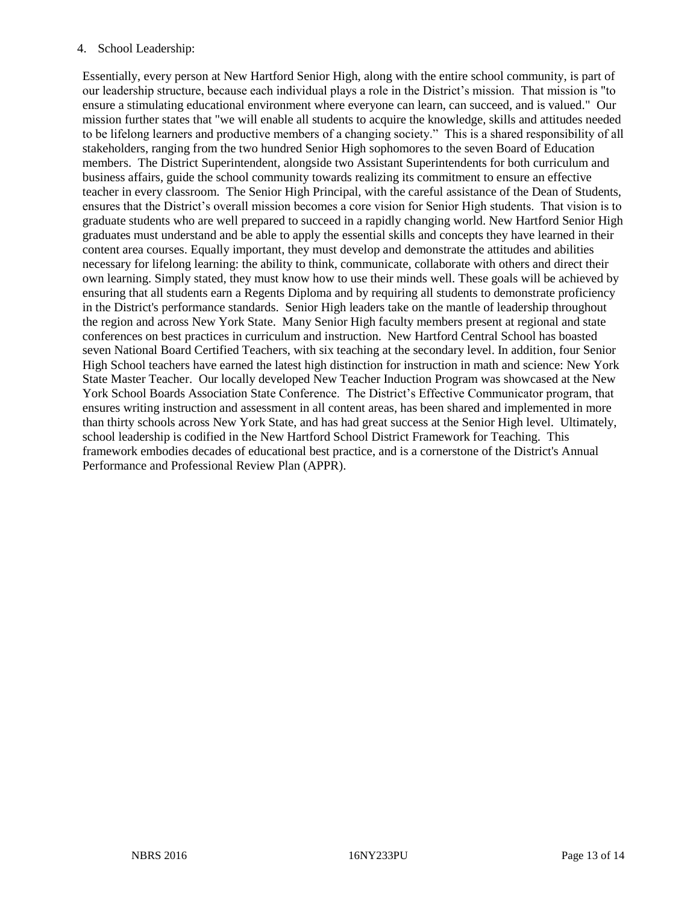## 4. School Leadership:

Essentially, every person at New Hartford Senior High, along with the entire school community, is part of our leadership structure, because each individual plays a role in the District's mission. That mission is "to ensure a stimulating educational environment where everyone can learn, can succeed, and is valued." Our mission further states that "we will enable all students to acquire the knowledge, skills and attitudes needed to be lifelong learners and productive members of a changing society." This is a shared responsibility of all stakeholders, ranging from the two hundred Senior High sophomores to the seven Board of Education members. The District Superintendent, alongside two Assistant Superintendents for both curriculum and business affairs, guide the school community towards realizing its commitment to ensure an effective teacher in every classroom. The Senior High Principal, with the careful assistance of the Dean of Students, ensures that the District's overall mission becomes a core vision for Senior High students. That vision is to graduate students who are well prepared to succeed in a rapidly changing world. New Hartford Senior High graduates must understand and be able to apply the essential skills and concepts they have learned in their content area courses. Equally important, they must develop and demonstrate the attitudes and abilities necessary for lifelong learning: the ability to think, communicate, collaborate with others and direct their own learning. Simply stated, they must know how to use their minds well. These goals will be achieved by ensuring that all students earn a Regents Diploma and by requiring all students to demonstrate proficiency in the District's performance standards. Senior High leaders take on the mantle of leadership throughout the region and across New York State. Many Senior High faculty members present at regional and state conferences on best practices in curriculum and instruction. New Hartford Central School has boasted seven National Board Certified Teachers, with six teaching at the secondary level. In addition, four Senior High School teachers have earned the latest high distinction for instruction in math and science: New York State Master Teacher. Our locally developed New Teacher Induction Program was showcased at the New York School Boards Association State Conference. The District's Effective Communicator program, that ensures writing instruction and assessment in all content areas, has been shared and implemented in more than thirty schools across New York State, and has had great success at the Senior High level. Ultimately, school leadership is codified in the New Hartford School District Framework for Teaching. This framework embodies decades of educational best practice, and is a cornerstone of the District's Annual Performance and Professional Review Plan (APPR).